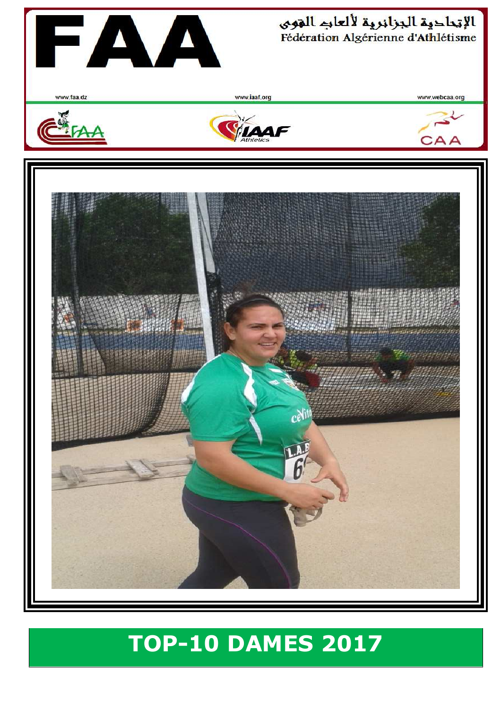

## **TOP-10 DAMES 2017**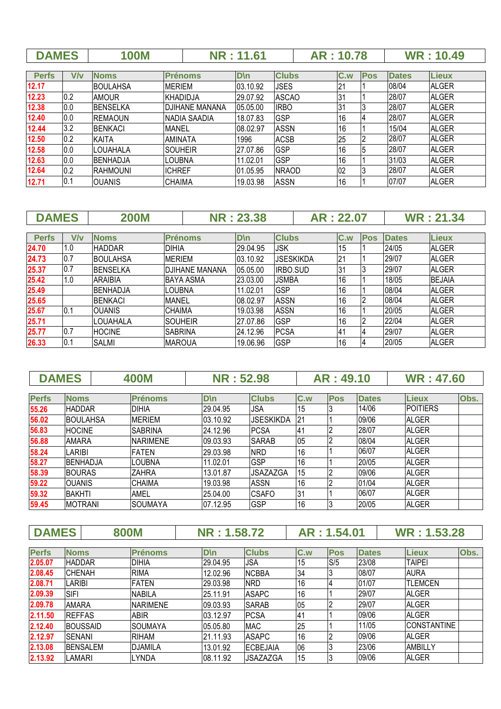| <b>DAMES</b> | <b>00M</b> | 1.61 | : 10.78 | <b>WR: 10.49</b> |
|--------------|------------|------|---------|------------------|
|              |            |      |         |                  |

| <b>Perfs</b> | V/v | <b>Noms</b>     | <b>Prénoms</b>  | $D \n\ln$ | <b>Clubs</b> | C.w | <b>Pos</b> | <b>Dates</b> | <b>Lieux</b> |
|--------------|-----|-----------------|-----------------|-----------|--------------|-----|------------|--------------|--------------|
| 12.17        |     | <b>BOULAHSA</b> | <b>MERIEM</b>   | 03.10.92  | <b>JSES</b>  | 21  |            | 08/04        | <b>ALGER</b> |
| 12.23        | 0.2 | <b>AMOUR</b>    | KHADIDJA        | 29.07.92  | <b>ASCAO</b> | 31  |            | 28/07        | <b>ALGER</b> |
| 12.38        | 0.0 | <b>BENSELKA</b> | IDJIHANE MANANA | 05.05.00  | <b>IRBO</b>  | 31  |            | 28/07        | <b>ALGER</b> |
| 12.40        | 0.0 | <b>REMAOUN</b>  | INADIA SAADIA   | 18.07.83  | <b>GSP</b>   | 16  |            | 28/07        | <b>ALGER</b> |
| 12.44        | 3.2 | <b>BENKACI</b>  | <b>MANEL</b>    | 08.02.97  | <b>ASSN</b>  | 16  |            | 15/04        | <b>ALGER</b> |
| 12.50        | 0.2 | <b>KAITA</b>    | IAMINATA        | 1996      | <b>ACSB</b>  | 25  |            | 28/07        | <b>ALGER</b> |
| 12.58        | 0.0 | <b>LOUAHALA</b> | isouheir        | 27.07.86  | <b>GSP</b>   | 16  |            | 28/07        | <b>ALGER</b> |
| 12.63        | 0.0 | <b>BENHADJA</b> | ILOUBNA         | 11.02.01  | <b>GSP</b>   | 16  |            | 31/03        | <b>ALGER</b> |
| 12.64        | 0.2 | RAHMOUNI        | <b>ICHREF</b>   | 01.05.95  | <b>NRAOD</b> | 02  |            | 28/07        | <b>ALGER</b> |
| 12.71        | 0.1 | <b>IOUANIS</b>  | <b>CHAIMA</b>   | 19.03.98  | <b>ASSN</b>  | 16  |            | 07/07        | <b>ALGER</b> |

| <b>DAMES</b> |     | <b>200M</b>      |                       | <b>NR: 23.38</b> |                  | AR: 22.07 |                |            |              | <b>WR: 21.34</b> |
|--------------|-----|------------------|-----------------------|------------------|------------------|-----------|----------------|------------|--------------|------------------|
|              |     |                  |                       |                  |                  |           |                |            |              |                  |
| <b>Perfs</b> | V/v | <b>Noms</b>      | <b>Prénoms</b>        | $D \n\ln$        | <b>Clubs</b>     |           | C.w            | <b>Pos</b> | <b>Dates</b> | <b>Lieux</b>     |
| 24.70        | 1.0 | <b>HADDAR</b>    | <b>DIHIA</b>          | 29.04.95         | JSK              |           | 15             |            | 24/05        | <b>ALGER</b>     |
| 24.73        | 0.7 | <b>BOULAHSA</b>  | <b>MERIFM</b>         | 03.10.92         | <b>JSESKIKDA</b> |           | 21             |            | 29/07        | <b>ALGER</b>     |
| 25.37        | 0.7 | <b>IBENSELKA</b> | <b>DJIHANE MANANA</b> | 05.05.00         | <b>IRBO.SUD</b>  |           | 31             |            | 29/07        | <b>ALGER</b>     |
| 25.42        | 1.0 | IARAIBIA         | <b>BAYA ASMA</b>      | 23.03.00         | <b>JSMBA</b>     |           | 16             |            | 18/05        | <b>BEJAIA</b>    |
| 25.49        |     | <b>BENHADJA</b>  | LOUBNA                | 11.02.01         | <b>GSP</b>       |           | 16             |            | 08/04        | <b>ALGER</b>     |
| 25.65        |     | <b>BENKACI</b>   | MANEL                 | 08.02.97         | <b>ASSN</b>      |           | 16             |            | 08/04        | <b>ALGER</b>     |
| 25.67        | 0.1 | IOUANIS          | <b>CHAIMA</b>         | 19.03.98         | <b>ASSN</b>      |           | 16             |            | 20/05        | <b>ALGER</b>     |
| 25.71        |     | LOUAHALA         | <b>SOUHEIR</b>        | 27.07.86         | GSP              |           | 16             |            | 22/04        | <b>ALGER</b>     |
| 25.77        | 0.7 | <b>HOCINE</b>    | <b>SABRINA</b>        | 24.12.96         | <b>PCSA</b>      |           | 4 <sup>1</sup> |            | 29/07        | <b>ALGER</b>     |
| 26.33        | 0.1 | <b>SALMI</b>     | <b>MAROUA</b>         | 19.06.96         | <b>GSP</b>       |           | 16             |            | 20/05        | <b>ALGER</b>     |

| <b>DAMES</b> |                 | <b>400M</b>     | <b>NR: 52.98</b> |                  |     | AR: 49.10  |              | <b>WR: 47.60</b> |      |
|--------------|-----------------|-----------------|------------------|------------------|-----|------------|--------------|------------------|------|
|              |                 |                 |                  |                  |     |            |              |                  |      |
| <b>Perfs</b> | <b>Noms</b>     | <b>Prénoms</b>  | $D \ln$          | <b>Clubs</b>     | C.w | <b>Pos</b> | <b>Dates</b> | <b>Lieux</b>     | Obs. |
| 55.26        | <b>HADDAR</b>   | DIHIA           | 29.04.95         | <b>JSA</b>       | 15  |            | 14/06        | <b>POITIERS</b>  |      |
| 56.02        | <b>BOULAHSA</b> | <b>MERIEM</b>   | 03.10.92         | <b>JSESKIKDA</b> | 21  |            | 09/06        | <b>ALGER</b>     |      |
| 56.83        | <b>HOCINE</b>   | <b>SABRINA</b>  | 24.12.96         | <b>PCSA</b>      | 41  |            | 28/07        | <b>ALGER</b>     |      |
| 56.88        | <b>AMARA</b>    | <b>NARIMENE</b> | 09.03.93         | <b>SARAB</b>     | 05  |            | 08/04        | <b>ALGER</b>     |      |
| 58.24        | LARIBI          | FATEN           | 29.03.98         | <b>NRD</b>       | 16  |            | 06/07        | <b>ALGER</b>     |      |
| 58.27        | <b>BENHADJA</b> | LOUBNA          | 11.02.01         | <b>GSP</b>       | 16  |            | 20/05        | <b>ALGER</b>     |      |
| 58.39        | <b>BOURAS</b>   | <b>ZAHRA</b>    | 13.01.87         | <b>JSAZAZGA</b>  | 15  |            | 09/06        | <b>ALGER</b>     |      |
| 59.22        | <b>OUANIS</b>   | <b>CHAIMA</b>   | 19.03.98         | <b>ASSN</b>      | 16  |            | 01/04        | <b>ALGER</b>     |      |
| 59.32        | <b>BAKHTI</b>   | AMEL            | 25.04.00         | <b>CSAFO</b>     | 31  |            | 06/07        | <b>ALGER</b>     |      |
| 59.45        | <b>MOTRANI</b>  | SOUMAYA         | 07.12.95         | <b>GSP</b>       | 16  |            | 20/05        | <b>ALGER</b>     |      |

| <b>DAMES</b> |               | <b>800M</b>     |                 | NR: 1.58.72 |                 |     | AR: 1.54.01 |              | <b>WR: 1.53.28</b> |      |
|--------------|---------------|-----------------|-----------------|-------------|-----------------|-----|-------------|--------------|--------------------|------|
|              |               |                 |                 |             |                 |     |             |              |                    |      |
| <b>Perfs</b> | <b>Noms</b>   |                 | <b>Prénoms</b>  | <b>D</b> \n | <b>Clubs</b>    | C.w | <b>Pos</b>  | <b>Dates</b> | <b>Lieux</b>       | Obs. |
| 2.05.07      | <b>HADDAR</b> |                 | <b>DIHIA</b>    | 29.04.95    | JSA             | 15  | S/5         | 23/08        | <b>TAIPEI</b>      |      |
| 2.08.45      | <b>CHENAH</b> |                 | <b>RIMA</b>     | 12.02.96    | <b>NCBBA</b>    | 34  |             | 08/07        | <b>AURA</b>        |      |
| 2.08.71      | LARIBI        |                 | <b>FATEN</b>    | 29.03.98    | <b>NRD</b>      | 16  |             | 01/07        | <b>TLEMCEN</b>     |      |
| 2.09.39      | <b>SIFI</b>   |                 | <b>NABILA</b>   | 25.11.91    | <b>ASAPC</b>    | 16  |             | 29/07        | <b>ALGER</b>       |      |
| 2.09.78      | <b>AMARA</b>  |                 | <b>NARIMENE</b> | 09.03.93    | <b>SARAB</b>    | 05  |             | 29/07        | <b>ALGER</b>       |      |
| 2.11.50      | <b>REFFAS</b> |                 | <b>ABIR</b>     | 03.12.97    | <b>PCSA</b>     | 41  |             | 09/06        | <b>ALGER</b>       |      |
| 2.12.40      |               | <b>BOUSSAID</b> | ISOUMAYA        | 05.05.80    | <b>MAC</b>      | 25  |             | 11/05        | <b>CONSTANTINE</b> |      |
| 2.12.97      | <b>SENANI</b> |                 | <b>RIHAM</b>    | 21.11.93    | <b>ASAPC</b>    | 16  |             | 09/06        | <b>ALGER</b>       |      |
| 2.13.08      |               | <b>BENSALEM</b> | <b>DJAMILA</b>  | 13.01.92    | <b>ECBEJAIA</b> | 06  |             | 23/06        | <b>AMBILLY</b>     |      |
| 2.13.92      | LAMARI        |                 | LYNDA           | 08.11.92    | <b>JSAZAZGA</b> | 15  |             | 09/06        | <b>ALGER</b>       |      |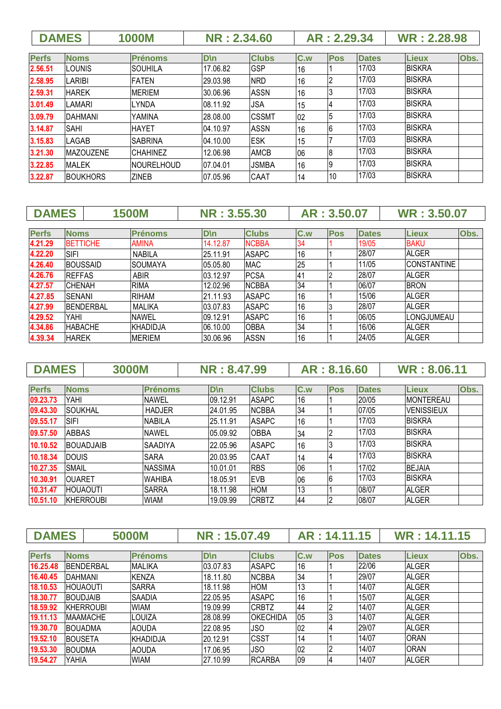|              | <b>DAMES</b>     | <b>1000M</b>    |                   | <b>NR: 2.34.60</b> |              |     | AR: 2.29.34 |              | <b>WR: 2.28.98</b> |      |
|--------------|------------------|-----------------|-------------------|--------------------|--------------|-----|-------------|--------------|--------------------|------|
| <b>Perfs</b> | <b>Noms</b>      | <b>Prénoms</b>  |                   | $D \ln$            | <b>Clubs</b> | C.w | <b>Pos</b>  | <b>Dates</b> | <b>Lieux</b>       | Obs. |
| 2.56.51      | LOUNIS           | ISOUHILA        |                   | 17.06.82           | <b>GSP</b>   | 16  |             | 17/03        | <b>IBISKRA</b>     |      |
| 2.58.95      | LARIBI           | <b>FATEN</b>    |                   | 29.03.98           | <b>NRD</b>   | 16  |             | 17/03        | <b>BISKRA</b>      |      |
| 2.59.31      | <b>HAREK</b>     | <b>MERIEM</b>   |                   | 30.06.96           | <b>ASSN</b>  | 16  |             | 17/03        | <b>BISKRA</b>      |      |
| 3.01.49      | LAMARI           | <b>LYNDA</b>    |                   | 08.11.92           | <b>JSA</b>   | 15  |             | 17/03        | <b>BISKRA</b>      |      |
| 3.09.79      | <b>DAHMANI</b>   | YAMINA          |                   | 28.08.00           | <b>CSSMT</b> | 02  |             | 17/03        | <b>BISKRA</b>      |      |
| 3.14.87      | SAHI             | <b>HAYET</b>    |                   | 04.10.97           | <b>ASSN</b>  | 16  | 6           | 17/03        | <b>BISKRA</b>      |      |
| 3.15.83      | LAGAB            | ISABRINA        |                   | 04.10.00           | <b>IESK</b>  | 15  |             | 17/03        | <b>BISKRA</b>      |      |
| 3.21.30      | <b>MAZOUZENE</b> | <b>CHAHINEZ</b> |                   | 12.06.98           | <b>AMCB</b>  | 06  | 18          | 17/03        | <b>BISKRA</b>      |      |
| 3.22.85      | <b>MALEK</b>     |                 | <b>NOURELHOUD</b> | 07.04.01           | <b>JSMBA</b> | 16  | 19          | 17/03        | <b>BISKRA</b>      |      |
| 3.22.87      | <b>BOUKHORS</b>  | <b>ZINEB</b>    |                   | 07.05.96           | CAAT         | 14  | 10          | 17/03        | <b>BISKRA</b>      |      |

| <b>DAMES</b> |                  | <b>1500M</b>   | NR: 3,55,30 |              |     | AR: 3.50.07 |              | <b>WR: 3.50.07</b>  |      |
|--------------|------------------|----------------|-------------|--------------|-----|-------------|--------------|---------------------|------|
|              |                  |                |             |              |     |             |              |                     |      |
| <b>Perfs</b> | <b>Noms</b>      | <b>Prénoms</b> | D\n         | <b>Clubs</b> | C.w | <b>Pos</b>  | <b>Dates</b> | <b>Lieux</b>        | Obs. |
| 4.21.29      | <b>BETTICHE</b>  | <b>AMINA</b>   | 14.12.87    | <b>NCBBA</b> | 34  |             | 19/05        | <b>BAKU</b>         |      |
| 4.22.20      | <b>SIFI</b>      | <b>NABILA</b>  | 25.11.91    | <b>ASAPC</b> | 16  |             | 28/07        | <b>ALGER</b>        |      |
| 4.26.40      | <b>BOUSSAID</b>  | <b>SOUMAYA</b> | 05.05.80    | <b>MAC</b>   | 25  |             | 11/05        | <b>ICONSTANTINE</b> |      |
| 4.26.76      | <b>REFFAS</b>    | <b>ABIR</b>    | 03.12.97    | <b>PCSA</b>  | 41  |             | 28/07        | <b>ALGER</b>        |      |
| 4.27.57      | <b>CHENAH</b>    | <b>RIMA</b>    | 12.02.96    | <b>NCBBA</b> | 34  |             | 06/07        | <b>BRON</b>         |      |
| 4.27.85      | ISENANI          | <b>RIHAM</b>   | 21.11.93    | <b>ASAPC</b> | 16  |             | 15/06        | <b>ALGER</b>        |      |
| 4.27.99      | <b>BENDERBAL</b> | <b>MALIKA</b>  | 03.07.83    | <b>ASAPC</b> | 16  |             | 28/07        | <b>ALGER</b>        |      |
| 4.29.52      | YAHI             | <b>NAWEL</b>   | 09.12.91    | <b>ASAPC</b> | 16  |             | 06/05        | ILONGJUMEAU         |      |
| 4.34.86      | <b>HABACHE</b>   | KHADIDJA       | 06.10.00    | <b>OBBA</b>  | 34  |             | 16/06        | <b>ALGER</b>        |      |
| 4.39.34      | <b>HAREK</b>     | <b>MERIEM</b>  | 30.06.96    | <b>ASSN</b>  | 16  |             | 24/05        | <b>ALGER</b>        |      |

| <b>DAMES</b> | <b>3000M</b>     |                | NR: 8.47.99 |              |     | AR: 8.16.60 |              | <b>WR: 8.06.11</b> |      |
|--------------|------------------|----------------|-------------|--------------|-----|-------------|--------------|--------------------|------|
|              |                  |                |             |              |     |             |              |                    |      |
| <b>Perfs</b> | <b>Noms</b>      | <b>Prénoms</b> | <b>D</b> \n | <b>Clubs</b> | C.w | <b>Pos</b>  | <b>Dates</b> | <b>Lieux</b>       | Obs. |
| 09.23.73     | YAHI             | <b>NAWEL</b>   | 09.12.91    | <b>ASAPC</b> | 16  |             | 20/05        | <b>MONTEREAU</b>   |      |
| 09.43.30     | <b>SOUKHAL</b>   | <b>HADJER</b>  | 24.01.95    | <b>NCBBA</b> | 34  |             | 07/05        | <b>VENISSIEUX</b>  |      |
| 09.55.17     | <b>SIFI</b>      | <b>NABILA</b>  | 25.11.91    | <b>ASAPC</b> | 16  |             | 17/03        | <b>BISKRA</b>      |      |
| 09.57.50     | <b>ABBAS</b>     | <b>NAWEL</b>   | 05.09.92    | <b>OBBA</b>  | 34  |             | 17/03        | <b>BISKRA</b>      |      |
| 10.10.52     | <b>BOUADJAIB</b> | <b>SAADIYA</b> | 22.05.96    | <b>ASAPC</b> | 16  |             | 17/03        | <b>BISKRA</b>      |      |
| 10.18.34     | <b>DOUIS</b>     | <b>SARA</b>    | 20.03.95    | CAAT         | 14  |             | 17/03        | <b>BISKRA</b>      |      |
| 10.27.35     | <b>SMAIL</b>     | <b>NASSIMA</b> | 10.01.01    | <b>RBS</b>   | 06  |             | 17/02        | <b>BEJAIA</b>      |      |
| 10.30.91     | <b>OUARET</b>    | <b>WAHIBA</b>  | 18.05.91    | <b>EVB</b>   | 06  | 6           | 17/03        | <b>BISKRA</b>      |      |
| 10.31.47     | <b>HOUAOUTI</b>  | <b>SARRA</b>   | 18.11.98    | <b>HOM</b>   | l13 |             | 08/07        | <b>ALGER</b>       |      |
| 10.51.10     | KHERROUBI        | <b>WIAM</b>    | 19.09.99    | <b>CRBTZ</b> | 44  |             | 08/07        | <b>ALGER</b>       |      |

| <b>DAMES</b> |                  |                  | <b>5000M</b>   | NR: 15.07.49 |                 | AR: 14.11.15 |            |              | WR: 14.11.15 |      |
|--------------|------------------|------------------|----------------|--------------|-----------------|--------------|------------|--------------|--------------|------|
|              |                  |                  |                |              |                 |              |            |              |              |      |
| <b>Perfs</b> | <b>Noms</b>      |                  | <b>Prénoms</b> | D\n          | <b>Clubs</b>    | C.w          | <b>Pos</b> | <b>Dates</b> | <b>Lieux</b> | Obs. |
| 16.25.48     |                  | <b>BENDERBAL</b> | <b>MALIKA</b>  | 03.07.83     | <b>ASAPC</b>    | 16           |            | 22/06        | <b>ALGER</b> |      |
| 16.40.45     | <b>DAHMANI</b>   |                  | <b>KENZA</b>   | 18.11.80     | <b>NCBBA</b>    | 34           |            | 29/07        | <b>ALGER</b> |      |
| 18.10.53     | <b>HOUAOUTI</b>  |                  | <b>SARRA</b>   | 18.11.98     | <b>HOM</b>      | 13           |            | 14/07        | ALGER        |      |
| 18.30.77     | <b>IBOUDJAIB</b> |                  | <b>SAADIA</b>  | 22.05.95     | <b>ASAPC</b>    | 16           |            | 15/07        | <b>ALGER</b> |      |
| 18.59.92     |                  | <b>KHERROUBI</b> | <b>WIAM</b>    | 19.09.99     | <b>ICRBTZ</b>   | 44           |            | 14/07        | <b>ALGER</b> |      |
| 19.11.13     |                  | <b>MAAMACHE</b>  | LOUIZA         | 28.08.99     | <b>OKECHIDA</b> | 05           |            | 14/07        | <b>ALGER</b> |      |
| 19.30.70     | <b>BOUADMA</b>   |                  | <b>AOUDA</b>   | 22.08.95     | <b>JSO</b>      | 02           |            | 29/07        | <b>ALGER</b> |      |
| 19.52.10     | <b>BOUSETA</b>   |                  | KHADIDJA       | 20.12.91     | <b>CSST</b>     | 14           |            | 14/07        | <b>ORAN</b>  |      |
| 19.53.30     | <b>BOUDMA</b>    |                  | <b>AOUDA</b>   | 17.06.95     | <b>JSO</b>      | 02           |            | 14/07        | <b>ORAN</b>  |      |
| 19.54.27     | YAHIA            |                  | <b>WIAM</b>    | 27.10.99     | <b>RCARBA</b>   | 09           |            | 14/07        | <b>ALGER</b> |      |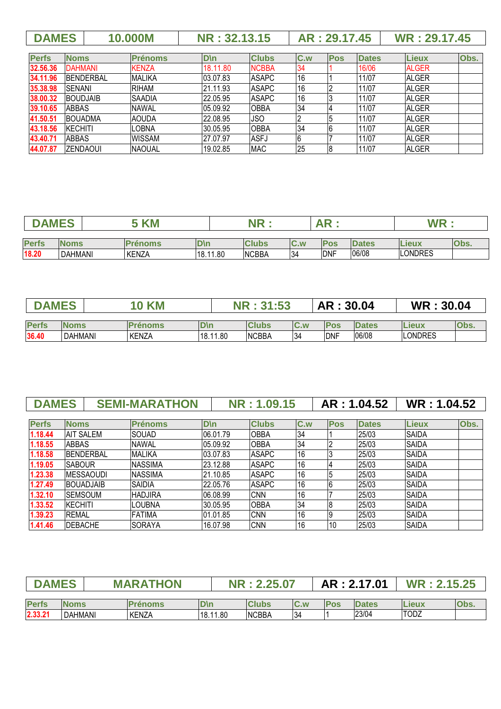| $\parallel$ AR : 29.17.45 $\parallel$ WR : 29.17.45 |  | <b>DAMES</b> | 10.000M | NR: 32.13.15 |  |  |
|-----------------------------------------------------|--|--------------|---------|--------------|--|--|
|-----------------------------------------------------|--|--------------|---------|--------------|--|--|

| <b>Perfs</b> | <b>Noms</b>      | <b>Prénoms</b> | D\n      | <b>Clubs</b> | C.w | <b>Pos</b> | <b>Dates</b> | <b>Lieux</b> | Obs. |
|--------------|------------------|----------------|----------|--------------|-----|------------|--------------|--------------|------|
| 32.56.36     | <b>DAHMANI</b>   | <b>KENZA</b>   | 18.11.80 | <b>NCBBA</b> | 34  |            | 16/06        | <b>ALGER</b> |      |
| 34.11.96     | <b>BENDERBAL</b> | <b>MALIKA</b>  | 03.07.83 | <b>ASAPC</b> | '16 |            | 11/07        | <b>ALGER</b> |      |
| 35.38.98     | <b>SENANI</b>    | <b>RIHAM</b>   | 21.11.93 | <b>ASAPC</b> | 16  |            | 11/07        | <b>ALGER</b> |      |
| 38.00.32     | <b>BOUDJAIB</b>  | <b>SAADIA</b>  | 22.05.95 | <b>ASAPC</b> | 16  |            | 11/07        | <b>ALGER</b> |      |
| 39.10.65     | <b>ABBAS</b>     | <b>NAWAL</b>   | 05.09.92 | <b>OBBA</b>  | 34  |            | 11/07        | <b>ALGER</b> |      |
| 41.50.51     | <b>BOUADMA</b>   | <b>AOUDA</b>   | 22.08.95 | <b>JSO</b>   |     |            | 11/07        | <b>ALGER</b> |      |
| 43.18.56     | KECHITI          | LOBNA          | 30.05.95 | <b>OBBA</b>  | 34  |            | 11/07        | <b>ALGER</b> |      |
| 43.40.71     | <b>ABBAS</b>     | <b>WISSAM</b>  | 27.07.97 | ASFJ         | 6   |            | 11/07        | <b>ALGER</b> |      |
| 44.07.87     | IZENDAOUI        | <b>NAOUAL</b>  | 19.02.85 | <b>MAC</b>   | 25  |            | 11/07        | <b>ALGER</b> |      |

|              | EQ<br><b>KM</b><br>M |                |             |              |                         |             |              | W D            |             |
|--------------|----------------------|----------------|-------------|--------------|-------------------------|-------------|--------------|----------------|-------------|
| <b>Perfs</b> | <b>Noms</b>          | <b>Prénoms</b> | <b>D</b> \n | <b>Clubs</b> | $\mathsf{C}.\mathsf{w}$ | <b>Pos</b>  | <b>Dates</b> | <b>Lieux</b>   | <b>Obs.</b> |
| 18.20        | <b>DAHMANI</b>       | <b>KENZA</b>   | 18.11.80    | <b>NCBBA</b> | 34                      | <b>IDNF</b> | 06/08        | <b>LONDRES</b> |             |

| <b>MES</b><br><b>1979</b> |                | <b>KM</b>      |             | $21 - 52$<br>AR |     |            | 30.04        | WR             | 30.04       |  |
|---------------------------|----------------|----------------|-------------|-----------------|-----|------------|--------------|----------------|-------------|--|
|                           |                |                |             |                 |     |            |              |                |             |  |
| <b>Perfs</b>              | <b>Noms</b>    | <b>Prénoms</b> | <b>D</b> \n | <b>Clubs</b>    | C.w | <b>Pos</b> | <b>Dates</b> | Lieux          | <b>ODS.</b> |  |
| 36.40                     | <b>DAHMANI</b> | KENZA          | 18.11.80    | <b>NCBBA</b>    | 34  | <b>DNF</b> | 06/08        | <b>LONDRES</b> |             |  |

|              | <b>DAMES</b>     |                   | <b>SEMI-MARATHON</b> | NR: 1.09.15 |              |     |            | AR: 1.04.52  | WR: 1.04.52  |      |
|--------------|------------------|-------------------|----------------------|-------------|--------------|-----|------------|--------------|--------------|------|
| <b>Perfs</b> | <b>Noms</b>      |                   | <b>Prénoms</b>       | $D \ln$     | <b>Clubs</b> | C.w | <b>Pos</b> | <b>Dates</b> | <b>Lieux</b> | Obs. |
| 1.18.44      | <b>AIT SALEM</b> |                   | <b>SOUAD</b>         | 06.01.79    | <b>OBBA</b>  | 34  |            | 25/03        | <b>SAIDA</b> |      |
| 1.18.55      | <b>ABBAS</b>     |                   | <b>NAWAL</b>         | 05.09.92    | <b>OBBA</b>  | 34  |            | 25/03        | <b>SAIDA</b> |      |
| 1.18.58      |                  | <b>IBENDERBAL</b> | <b>MALIKA</b>        | 03.07.83    | <b>ASAPC</b> | 16  |            | 25/03        | <b>SAIDA</b> |      |
| 1.19.05      | <b>ISABOUR</b>   |                   | <b>NASSIMA</b>       | 23.12.88    | <b>ASAPC</b> | 16  |            | 25/03        | <b>SAIDA</b> |      |
| 1.23.38      |                  | <b>MESSAOUDI</b>  | <b>NASSIMA</b>       | 21.10.85    | <b>ASAPC</b> | 16  |            | 25/03        | <b>SAIDA</b> |      |
| 1.27.49      |                  | <b>BOUADJAIB</b>  | <b>SAIDIA</b>        | 22.05.76    | <b>ASAPC</b> | 16  |            | 25/03        | <b>SAIDA</b> |      |
| 1.32.10      | ISEMSOUM         |                   | <b>HADJIRA</b>       | 06.08.99    | <b>CNN</b>   | 16  |            | 25/03        | <b>SAIDA</b> |      |
| 1.33.52      | <b>KECHITI</b>   |                   | LOUBNA               | 30.05.95    | <b>OBBA</b>  | 34  |            | 25/03        | <b>SAIDA</b> |      |
| 1.39.23      | <b>REMAL</b>     |                   | <b>FATIMA</b>        | 01.01.85    | <b>CNN</b>   | 16  |            | 25/03        | <b>SAIDA</b> |      |
| 1.41.46      | <b>DEBACHE</b>   |                   | ISORAYA              | 16.07.98    | <b>CNN</b>   | 16  | 10         | 25/03        | <b>SAIDA</b> |      |

| <b>DAMES</b> |                | <b>MARATHON</b> |             | .2.25.07     |      |            | AR: 2.17.01  | .15.25      |             |
|--------------|----------------|-----------------|-------------|--------------|------|------------|--------------|-------------|-------------|
| <b>Perfs</b> | <b>Noms</b>    | <b>Prénoms</b>  | <b>D</b> \n | <b>Clubs</b> | IC.w | <b>Pos</b> | <b>Dates</b> | Lieux       | <b>Obs.</b> |
| 2.33.21      | <b>DAHMANI</b> | KENZA           | 18.11.80    | <b>NCBBA</b> | 34   |            | 23/04        | <b>TODZ</b> |             |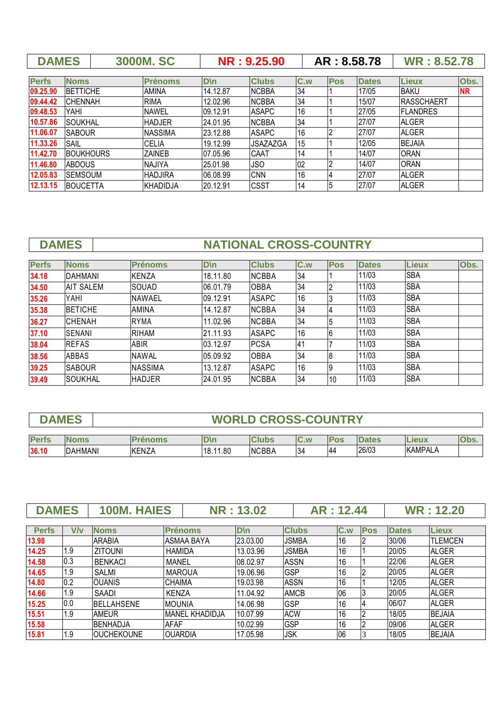|              | <b>DAMES</b>     |  | <b>3000M.SC</b> |             | NR: 9.25.90     |     | AR: 8.58.78 |              | <b>WR: 8.52.78</b> |           |
|--------------|------------------|--|-----------------|-------------|-----------------|-----|-------------|--------------|--------------------|-----------|
|              |                  |  |                 |             |                 |     |             |              |                    |           |
| <b>Perfs</b> | <b>Noms</b>      |  | <b>Prénoms</b>  | <b>D</b> \n | <b>Clubs</b>    | C.w | <b>Pos</b>  | <b>Dates</b> | <b>Lieux</b>       | Obs.      |
| 09.25.90     | <b>BETTICHE</b>  |  | <b>AMINA</b>    | 14.12.87    | <b>NCBBA</b>    | 34  |             | 17/05        | <b>BAKU</b>        | <b>NR</b> |
| 09.44.42     | <b>CHENNAH</b>   |  | <b>RIMA</b>     | 12.02.96    | <b>NCBBA</b>    | 34  |             | 15/07        | IRASSCHAERT        |           |
| 09.48.53     | YAHI             |  | <b>NAWEL</b>    | 09.12.91    | <b>ASAPC</b>    | 16  |             | 27/05        | IFLANDRES          |           |
| 10.57.86     | <b>SOUKHAL</b>   |  | <b>HADJER</b>   | 24.01.95    | <b>NCBBA</b>    | 34  |             | 27/07        | <b>ALGER</b>       |           |
| 11.06.07     | <b>SABOUR</b>    |  | <b>NASSIMA</b>  | 23.12.88    | <b>ASAPC</b>    | 16  |             | 27/07        | <b>ALGER</b>       |           |
| 11.33.26     | <b>SAIL</b>      |  | <b>CELIA</b>    | 19.12.99    | <b>JSAZAZGA</b> | 15  |             | 12/05        | <b>BEJAIA</b>      |           |
| 11.42.70     | <b>BOUKHOURS</b> |  | <b>ZAINEB</b>   | 07.05.96    | CAAT            | 14  |             | 14/07        | <b>ORAN</b>        |           |
| 11.46.80     | <b>ABDOUS</b>    |  | NAJIYA          | 25.01.98    | <b>JSO</b>      | 02  |             | 14/07        | <b>ORAN</b>        |           |
| 12.05.83     | <b>SEMSOUM</b>   |  | <b>HADJIRA</b>  | 06.08.99    | <b>CNN</b>      | 16  |             | 27/07        | <b>ALGER</b>       |           |
| 12.13.15     | <b>BOUCETTA</b>  |  | IKHADIDJA       | 20.12.91    | <b>CSST</b>     | 14  | 5           | 27/07        | <b>ALGER</b>       |           |

## **DAMES** NATIONAL CROSS-COUNTRY

| <b>Perfs</b> | <b>Noms</b>      | <b>Prénoms</b> | D\n      | <b>Clubs</b>  | C.w | <b>Pos</b> | <b>Dates</b> | <b>Lieux</b> | Obs. |
|--------------|------------------|----------------|----------|---------------|-----|------------|--------------|--------------|------|
| 34.18        | <b>DAHMANI</b>   | <b>KENZA</b>   | 18.11.80 | <b>INCBBA</b> | 34  |            | 11/03        | <b>SBA</b>   |      |
| 34.50        | <b>AIT SALEM</b> | SOUAD          | 06.01.79 | <b>OBBA</b>   | 34  |            | 11/03        | <b>SBA</b>   |      |
| 35.26        | YAHI             | <b>NAWAEL</b>  | 09.12.91 | <b>ASAPC</b>  | 16  |            | 11/03        | <b>SBA</b>   |      |
| 35.38        | <b>IBETICHE</b>  | <b>AMINA</b>   | 14.12.87 | <b>NCBBA</b>  | 34  |            | 11/03        | <b>SBA</b>   |      |
| 36.27        | <b>CHENAH</b>    | <b>RYMA</b>    | 11.02.96 | <b>INCBBA</b> | 34  |            | 11/03        | <b>SBA</b>   |      |
| 37.10        | ISENANI          | <b>RIHAM</b>   | 21.11.93 | <b>ASAPC</b>  | 16  | 6          | 11/03        | <b>SBA</b>   |      |
| 38.04        | <b>REFAS</b>     | <b>ABIR</b>    | 03.12.97 | <b>PCSA</b>   | 41  |            | 11/03        | <b>SBA</b>   |      |
| 38.56        | ABBAS            | <b>NAWAL</b>   | 05.09.92 | <b>OBBA</b>   | 34  | 18         | 11/03        | <b>SBA</b>   |      |
| 39.25        | <b>SABOUR</b>    | <b>NASSIMA</b> | 13.12.87 | <b>ASAPC</b>  | 16  | 19         | 11/03        | <b>SBA</b>   |      |
| 39.49        | <b>SOUKHAL</b>   | <b>HADJER</b>  | 24.01.95 | <b>NCBBA</b>  | 34  | 10         | 11/03        | <b>SBA</b>   |      |

| <b>DAME</b> | <b>WORLD CROSS-COUNTRY</b> |
|-------------|----------------------------|
|             |                            |

| <b>Perfs</b> | <b>N</b><br>oms | <b>BUILDING</b>        | ᠁                       | lubs         | IC<br>W       |           | D<br>105 | <b>B 8 WA</b><br>10<br>$\sim$ | . |
|--------------|-----------------|------------------------|-------------------------|--------------|---------------|-----------|----------|-------------------------------|---|
| 36.10        | AHMANI<br>DA    | KEN74<br>'∽N∠,<br>INE. | .80<br><b>40</b><br>۱o. | <b>NCBBA</b> | $\sim$<br>ىن. | <u>ДД</u> | 26/03    | KAMPAL,                       |   |

| <b>DAMES</b> |     | <b>100M. HAIES</b> |                 | <b>NR: 13.02</b> | AR: 12.44    |     |            |              | <b>WR: 12.20</b> |
|--------------|-----|--------------------|-----------------|------------------|--------------|-----|------------|--------------|------------------|
|              |     |                    |                 |                  |              |     |            |              |                  |
| <b>Perfs</b> | V/v | <b>Noms</b>        | <b>Prénoms</b>  | $D \ln$          | <b>Clubs</b> | C.w | <b>Pos</b> | <b>Dates</b> | <b>Lieux</b>     |
| 13.98        |     | <b>ARABIA</b>      | ASMAA BAYA      | 23.03.00         | <b>JSMBA</b> | 16  |            | 30/06        | <b>TLEMCEN</b>   |
| 14.25        | 1.9 | <b>ZITOUNI</b>     | <b>HAMIDA</b>   | 13.03.96         | JSMBA        | 16  |            | 20/05        | <b>ALGER</b>     |
| 14.58        | 0.3 | <b>BENKACI</b>     | <b>MANEL</b>    | 08.02.97         | <b>ASSN</b>  | 16  |            | 22/06        | <b>ALGER</b>     |
| 14.65        | 1.9 | SALMI              | <b>MAROUA</b>   | 19.06.96         | <b>GSP</b>   | 16  |            | 20/05        | <b>ALGER</b>     |
| 14.80        | 0.2 | <b>OUANIS</b>      | CHAIMA          | 19.03.98         | <b>ASSN</b>  | 16  |            | 12/05        | <b>ALGER</b>     |
| 14.66        | 1.9 | SAADI              | <b>KENZA</b>    | 11.04.92         | <b>AMCB</b>  | 06  |            | 20/05        | <b>ALGER</b>     |
| 15.25        | 0.0 | <b>BELLAHSENE</b>  | <b>MOUNIA</b>   | 14.06.98         | <b>GSP</b>   | 16  |            | 06/07        | <b>ALGER</b>     |
| 15.51        | 1.9 | AMEUR              | IMANEL KHADIDJA | 10.07.99         | <b>ACW</b>   | 16  |            | 18/05        | <b>BEJAIA</b>    |
| 15.58        |     | <b>BENHADJA</b>    | <b>AFAF</b>     | 10.02.99         | GSP          | 16  |            | 09/06        | <b>ALGER</b>     |
| 15.81        | 1.9 | <b>OUCHEKOUNE</b>  | <b>OUARDIA</b>  | 17.05.98         | JSK          | 06  |            | 18/05        | <b>BEJAIA</b>    |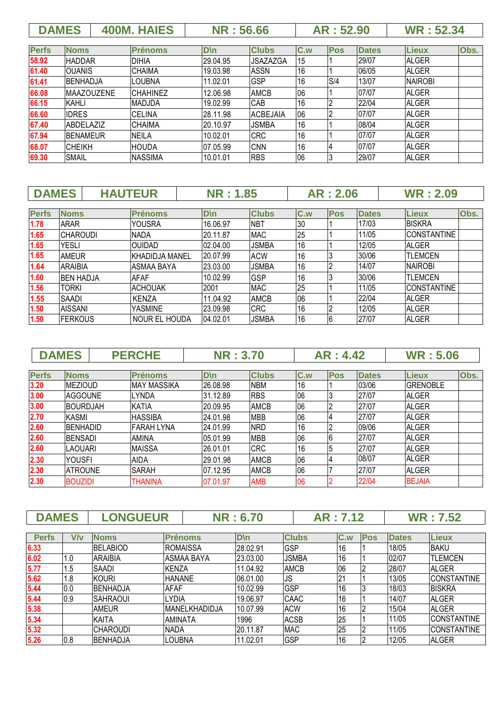|              | <b>DAMES</b>     |                   | <b>400M. HAIES</b> |           | <b>NR: 56.66</b> |     | AR: 52.90  |              | <b>WR: 52.34</b> |      |
|--------------|------------------|-------------------|--------------------|-----------|------------------|-----|------------|--------------|------------------|------|
| <b>Perfs</b> | <b>Noms</b>      |                   | <b>Prénoms</b>     | $D \n\ln$ | <b>Clubs</b>     | C.w | <b>Pos</b> | <b>Dates</b> | <b>Lieux</b>     | Obs. |
| 58.92        | <b>HADDAR</b>    |                   | DIHIA              | 29.04.95  | <b>JSAZAZGA</b>  | 15  |            | 29/07        | <b>ALGER</b>     |      |
| 61.40        | IOUANIS          |                   | ICHAIMA            | 19.03.98  | <b>ASSN</b>      | 16  |            | 06/05        | <b>ALGER</b>     |      |
| 61.41        | IBENHADJA        |                   | ILOUBNA            | 11.02.01  | <b>GSP</b>       | 16  | S/4        | 13/07        | <b>NAIROBI</b>   |      |
| 66.08        |                  | <b>MAAZOUZENE</b> | <b>CHAHINEZ</b>    | 12.06.98  | <b>AMCB</b>      | 06  |            | 07/07        | <b>ALGER</b>     |      |
| 66.15        | <b>KAHLI</b>     |                   | <b>MADJDA</b>      | 19.02.99  | <b>CAB</b>       | 16  |            | 22/04        | <b>ALGER</b>     |      |
| 66.60        | <b>IDRES</b>     |                   | <b>CELINA</b>      | 28.11.98  | <b>ACBEJAIA</b>  | 06  |            | 07/07        | <b>ALGER</b>     |      |
| 67.40        | <b>ABDELAZIZ</b> |                   | <b>CHAIMA</b>      | 20.10.97  | <b>JSMBA</b>     | 16  |            | 08/04        | <b>ALGER</b>     |      |
| 67.94        | <b>BENAMEUR</b>  |                   | <b>NEILA</b>       | 10.02.01  | <b>CRC</b>       | 16  |            | 07/07        | <b>ALGER</b>     |      |
| 68.07        | ICHEIKH          |                   | <b>HOUDA</b>       | 07.05.99  | <b>CNN</b>       | 16  |            | 07/07        | <b>ALGER</b>     |      |
| 69.30        | <b>SMAIL</b>     |                   | <b>NASSIMA</b>     | 10.01.01  | <b>RBS</b>       | 06  |            | 29/07        | <b>ALGER</b>     |      |

| <b>DAMES</b> |                  | <b>HAUTEUR</b> |                        | <b>NR: 1.85</b> |              |     | <b>AR: 2.06</b> |              | <b>WR: 2.09</b>    |      |
|--------------|------------------|----------------|------------------------|-----------------|--------------|-----|-----------------|--------------|--------------------|------|
|              |                  |                |                        |                 |              |     |                 |              |                    |      |
| <b>Perfs</b> | <b>Noms</b>      |                | <b>Prénoms</b>         | D\n             | <b>Clubs</b> | C.w | <b>Pos</b>      | <b>Dates</b> | <b>Lieux</b>       | Obs. |
| 1.78         | <b>ARAR</b>      |                | <b>YOUSRA</b>          | 16.06.97        | <b>NBT</b>   | 30  |                 | 17/03        | <b>BISKRA</b>      |      |
| 1.65         | <b>CHAROUDI</b>  |                | <b>NADA</b>            | 20.11.87        | <b>MAC</b>   | 25  |                 | 11/05        | <b>CONSTANTINE</b> |      |
| 1.65         | <b>YESLI</b>     |                | <b>OUIDAD</b>          | 02.04.00        | <b>JSMBA</b> | 16  |                 | 12/05        | <b>ALGER</b>       |      |
| 1.65         | <b>AMEUR</b>     |                | <b>IKHADIDJA MANEL</b> | 20.07.99        | <b>ACW</b>   | 16  |                 | 30/06        | <b>ITLEMCEN</b>    |      |
| 1.64         | <b>ARAIBIA</b>   |                | ASMAA BAYA             | 23.03.00        | <b>JSMBA</b> | 16  |                 | 14/07        | <b>NAIROBI</b>     |      |
| 1.60         | <b>BEN HADJA</b> |                | <b>AFAF</b>            | 10.02.99        | <b>GSP</b>   | 16  |                 | 30/06        | <b>ITLEMCEN</b>    |      |
| 1.56         | <b>TORKI</b>     |                | <b>ACHOUAK</b>         | 2001            | <b>MAC</b>   | 25  |                 | 11/05        | <b>CONSTANTINE</b> |      |
| 1.55         | SAADI            |                | <b>IKENZA</b>          | 11.04.92        | <b>AMCB</b>  | 06  |                 | 22/04        | <b>ALGER</b>       |      |
| 1.50         | <b>AISSANI</b>   |                | <b>YASMINE</b>         | 23.09.98        | <b>CRC</b>   | 16  |                 | 12/05        | <b>ALGER</b>       |      |
| 1.50         | <b>FERKOUS</b>   |                | NOUR EL HOUDA          | 04.02.01        | <b>JSMBA</b> | 16  | 6               | 27/07        | <b>ALGER</b>       |      |

**DAMES PERCHE NR : 3.70 AR : 4.42 WR : 5.06 Perfs Noms Prénoms D\n Clubs C.w Pos Dates Lieux Obs. 3.20** MEZIOUD MAY MASSIKA 26.08.98 NBM 16 1 03/06 GRENOBLE

| J.ZU | INEZIUUD        | IVIAT IVIAJJINA | IZU.UO.JO | INDIVI      | ιv | טטונטי | <b>UNEIVUDLE</b> |  |
|------|-----------------|-----------------|-----------|-------------|----|--------|------------------|--|
| 3.00 | <b>AGGOUNE</b>  | LYNDA           | 31.12.89  | <b>RBS</b>  | 06 | 27/07  | <b>ALGER</b>     |  |
| 3.00 | <b>BOURDJAH</b> | <b>KATIA</b>    | 20.09.95  | <b>AMCB</b> | 06 | 27/07  | <b>ALGER</b>     |  |
| 2.70 | KASMI           | <b>HASSIBA</b>  | 24.01.98  | <b>MBB</b>  | 06 | 27/07  | <b>ALGER</b>     |  |
| 2.60 | <b>BENHADID</b> | FARAH LYNA      | 24.01.99  | <b>NRD</b>  | 16 | 09/06  | <b>ALGER</b>     |  |
| 2.60 | <b>BENSADI</b>  | AMINA           | 05.01.99  | <b>MBB</b>  | 06 | 27/07  | <b>ALGER</b>     |  |
| 2.60 | <b>LAOUARI</b>  | <b>MAISSA</b>   | 26.01.01  | <b>CRC</b>  | 16 | 27/07  | <b>ALGER</b>     |  |
| 2.30 | <b>YOUSFI</b>   | <b>AIDA</b>     | 29.01.98  | AMCB        | 06 | 08/07  | <b>ALGER</b>     |  |
| 2.30 | <b>ATROUNE</b>  | SARAH           | 07.12.95  | <b>AMCB</b> | 06 | 27/07  | <b>ALGER</b>     |  |
| 2.30 | <b>BOUZIDI</b>  | <b>THANINA</b>  | 07.01.97  | <b>AMB</b>  | 06 | 22/04  | <b>BEJAIA</b>    |  |
|      |                 |                 |           |             |    |        |                  |  |

| <b>DAMES</b> |     | <b>LONGUEUR</b> |                      | <b>NR: 6.70</b> |              | AR: 7.12 |            | <b>WR: 7.52</b> |                    |
|--------------|-----|-----------------|----------------------|-----------------|--------------|----------|------------|-----------------|--------------------|
|              |     |                 |                      |                 |              |          |            |                 |                    |
| <b>Perfs</b> | V/v | <b>Noms</b>     | <b>Prénoms</b>       | <b>D</b> \n     | <b>Clubs</b> | C.w      | <b>Pos</b> | <b>Dates</b>    | <b>Lieux</b>       |
| 6.33         |     | <b>BELABIOD</b> | ROMAISSA             | 28.02.91        | GSP          | 16       |            | 18/05           | <b>BAKU</b>        |
| 6.02         | 1.0 | <b>ARAIBIA</b>  | <b>ASMAA BAYA</b>    | 23.03.00        | <b>JSMBA</b> | 16       |            | 02/07           | <b>TLEMCEN</b>     |
| 5.77         | . 5 | <b>SAADI</b>    | <b>KENZA</b>         | 11.04.92        | <b>AMCB</b>  | 06       |            | 28/07           | <b>ALGER</b>       |
| 5.62         | 1.8 | KOURI           | <b>HANANE</b>        | 06.01.00        | IJS          | 21       |            | 13/05           | <b>CONSTANTINE</b> |
| 5.44         | 0.0 | BENHADJA        | <b>AFAF</b>          | 10.02.99        | GSP          | 16       |            | 18/03           | <b>BISKRA</b>      |
| 5.44         | 0.9 | <b>SAHRAOUI</b> | <b>LYDIA</b>         | 19.06.97        | <b>CAAC</b>  | 16       |            | 14/07           | <b>ALGER</b>       |
| 5.38         |     | <b>AMEUR</b>    | <b>MANELKHADIDJA</b> | 10.07.99        | <b>ACW</b>   | 16       |            | 15/04           | <b>ALGER</b>       |
| 5.34         |     | <b>KAITA</b>    | AMINATA              | 1996            | <b>ACSB</b>  | 25       |            | 11/05           | <b>CONSTANTINE</b> |
| 5.32         |     | <b>CHAROUDI</b> | <b>NADA</b>          | 20.11.87        | <b>MAC</b>   | 25       |            | 11/05           | <b>CONSTANTINE</b> |
| 5.26         | 0.8 | BENHADJA        | LOUBNA               | 11.02.01        | <b>GSP</b>   | 16       |            | 12/05           | <b>ALGER</b>       |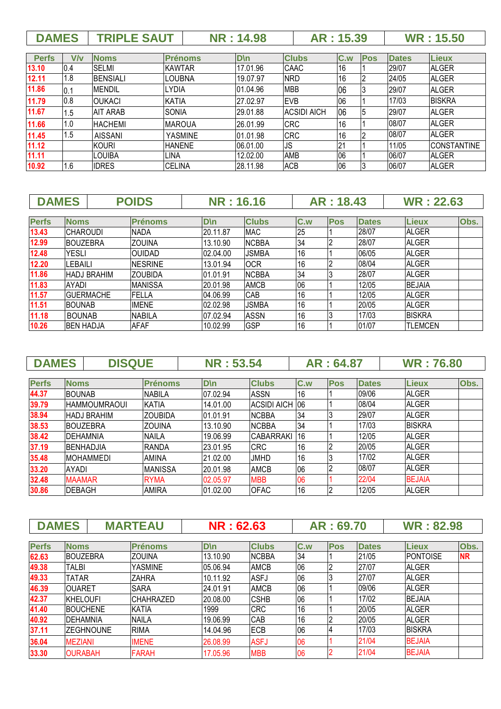| <b>DAMES</b><br><b>TRIPLE SAUT</b><br>: 15.50<br>: 15.39<br><b>WR</b><br>$^{\circ}$ 14.98 $^{\circ}$ |  |  |  |
|------------------------------------------------------------------------------------------------------|--|--|--|
|                                                                                                      |  |  |  |

| <b>Perfs</b> | V/v | <b>Noms</b>     | <b>Prénoms</b> | D\n       | <b>Clubs</b>       | C.w | <b>Pos</b> | <b>Dates</b> | <b>Lieux</b>       |
|--------------|-----|-----------------|----------------|-----------|--------------------|-----|------------|--------------|--------------------|
| 13.10        | 0.4 | <b>SELMI</b>    | <b>KAWTAR</b>  | 17.01.96  | <b>CAAC</b>        | 16  |            | 29/07        | <b>ALGER</b>       |
| 12.11        | 1.8 | <b>BENSIALI</b> | LOUBNA         | 19.07.97  | <b>NRD</b>         | 16  | ı٥         | 24/05        | <b>ALGER</b>       |
| 11.86        | 0.1 | <b>MENDIL</b>   | LYDIA          | 01.04.96  | <b>MBB</b>         | 06  | 13         | 29/07        | <b>ALGER</b>       |
| 11.79        | 0.8 | <b>OUKACI</b>   | <b>KATIA</b>   | 27.02.97  | <b>EVB</b>         | 06  |            | 17/03        | <b>BISKRA</b>      |
| 11.67        | 1.5 | <b>AIT ARAB</b> | <b>SONIA</b>   | 29.01.88  | <b>ACSIDI AICH</b> | 06  | 15         | 29/07        | <b>ALGER</b>       |
| 11.66        | 1.0 | <b>HACHEMI</b>  | <b>MAROUA</b>  | 26.01.99  | <b>CRC</b>         | 16  |            | 08/07        | <b>ALGER</b>       |
| 11.45        | 1.5 | <b>AISSANI</b>  | <b>YASMINE</b> | 101.01.98 | <b>CRC</b>         | 16  |            | 08/07        | <b>ALGER</b>       |
| 11.12        |     | <b>KOURI</b>    | <b>HANENE</b>  | 06.01.00  | <b>JS</b>          | 21  |            | 11/05        | <b>CONSTANTINE</b> |
| 11.11        |     | <b>LOUIBA</b>   | LINA.          | 12.02.00  | <b>AMB</b>         | 06  |            | 06/07        | <b>ALGER</b>       |
| 10.92        | 1.6 | <b>IDRES</b>    | <b>CELINA</b>  | 28.11.98  | <b>ACB</b>         | 06  | IЭ         | 06/07        | <b>ALGER</b>       |

| <b>DAMES</b> |                  |                    | <b>POIDS</b>   | <b>NR: 16.16</b> |              |     | AR: 18.43  |              | <b>WR: 22.63</b> |      |
|--------------|------------------|--------------------|----------------|------------------|--------------|-----|------------|--------------|------------------|------|
|              |                  |                    |                |                  |              |     |            |              |                  |      |
| <b>Perfs</b> | <b>Noms</b>      |                    | <b>Prénoms</b> | $D \setminus n$  | <b>Clubs</b> | C.w | <b>Pos</b> | <b>Dates</b> | <b>Lieux</b>     | Obs. |
| 13.43        | <b>CHAROUDI</b>  |                    | <b>NADA</b>    | 20.11.87         | <b>MAC</b>   | 25  |            | 28/07        | <b>ALGER</b>     |      |
| 12.99        | <b>BOUZEBRA</b>  |                    | <b>ZOUINA</b>  | 13.10.90         | <b>NCBBA</b> | 34  |            | 28/07        | <b>ALGER</b>     |      |
| 12.48        | <b>YESLI</b>     |                    | <b>OUIDAD</b>  | 02.04.00         | <b>JSMBA</b> | 16  |            | 06/05        | <b>ALGER</b>     |      |
| 12.20        | LEBAILI          |                    | <b>NESRINE</b> | 13.01.94         | <b>OCR</b>   | 16  |            | 08/04        | <b>ALGER</b>     |      |
| 11.86        |                  | <b>HADJ BRAHIM</b> | <b>ZOUBIDA</b> | 01.01.91         | <b>NCBBA</b> | 34  |            | 28/07        | <b>ALGER</b>     |      |
| 11.83        | AYADI            |                    | <b>MANISSA</b> | 20.01.98         | <b>AMCB</b>  | 06  |            | 12/05        | <b>BEJAIA</b>    |      |
| 11.57        |                  | <b>GUERMACHE</b>   | <b>FELLA</b>   | 04.06.99         | CAB          | 16  |            | 12/05        | <b>ALGER</b>     |      |
| 11.51        | <b>BOUNAB</b>    |                    | <b>IMENE</b>   | 02.02.98         | <b>JSMBA</b> | 16  |            | 20/05        | <b>ALGER</b>     |      |
| 11.18        | <b>BOUNAB</b>    |                    | <b>NABILA</b>  | 07.02.94         | <b>ASSN</b>  | 16  |            | 17/03        | <b>BISKRA</b>    |      |
| 10.26        | <b>BEN HADJA</b> |                    | <b>AFAF</b>    | 10.02.99         | <b>GSP</b>   | 16  |            | 01/07        | <b>TLEMCEN</b>   |      |

| <b>DAMES</b> |               | <b>DISQUE</b>       |                | <b>NR: 53.54</b> |                         |     | AR: 64.87  |              | <b>WR: 76.80</b> |      |
|--------------|---------------|---------------------|----------------|------------------|-------------------------|-----|------------|--------------|------------------|------|
|              |               |                     |                |                  |                         |     |            |              |                  |      |
| <b>Perfs</b> | <b>Noms</b>   |                     | <b>Prénoms</b> | D\n              | <b>Clubs</b>            | C.w | <b>Pos</b> | <b>Dates</b> | <b>Lieux</b>     | Obs. |
| 44.37        | <b>BOUNAB</b> |                     | <b>NABILA</b>  | 07.02.94         | <b>ASSN</b>             | 16  |            | 09/06        | <b>ALGER</b>     |      |
| 39.79        |               | <b>HAMMOUMRAOUI</b> | <b>KATIA</b>   | 14.01.00         | ACSIDI AICH 106         |     |            | 08/04        | <b>ALGER</b>     |      |
| 38.94        |               | <b>HADJ BRAHIM</b>  | <b>ZOUBIDA</b> | 01.01.91         | <b>NCBBA</b>            | 34  |            | 29/07        | <b>ALGER</b>     |      |
| 38.53        |               | IBOUZEBRA           | <b>ZOUINA</b>  | 13.10.90         | <b>NCBBA</b>            | 34  |            | 17/03        | <b>BISKRA</b>    |      |
| 38.42        |               | IDEHAMNIA           | <b>NAILA</b>   | 19.06.99         | CABARRAKI <sup>16</sup> |     |            | 12/05        | <b>ALGER</b>     |      |
| 37.19        |               | IBENHADJIA          | <b>RANDA</b>   | 23.01.95         | <b>CRC</b>              | 16  |            | 20/05        | <b>ALGER</b>     |      |
| 35.48        |               | IMOHAMMEDI          | <b>AMINA</b>   | 21.02.00         | <b>JMHD</b>             | 16  |            | 17/02        | <b>ALGER</b>     |      |
| 33.20        | AYADI         |                     | <b>MANISSA</b> | 20.01.98         | <b>AMCB</b>             | 06  |            | 08/07        | ALGER            |      |
| 32.48        | <b>MAAMAR</b> |                     | <b>RYMA</b>    | 02.05.97         | <b>MBB</b>              | 06  |            | 22/04        | <b>BEJAIA</b>    |      |
| 30.86        | <b>DEBAGH</b> |                     | <b>AMIRA</b>   | 01.02.00         | <b>OFAC</b>             | 16  |            | 12/05        | <b>ALGER</b>     |      |

| <b>DAMES</b> |                 |            | <b>MARTEAU</b>   | <b>NR: 62.63</b> |              |     | AR: 69.70  |              | <b>WR: 82.98</b> |           |
|--------------|-----------------|------------|------------------|------------------|--------------|-----|------------|--------------|------------------|-----------|
|              |                 |            |                  |                  |              |     |            |              |                  |           |
| <b>Perfs</b> | <b>Noms</b>     |            | <b>Prénoms</b>   | <b>D</b> \n      | <b>Clubs</b> | C.w | <b>Pos</b> | <b>Dates</b> | <b>Lieux</b>     | Obs.      |
| 62.63        | <b>BOUZEBRA</b> |            | <b>ZOUINA</b>    | 13.10.90         | <b>NCBBA</b> | 34  |            | 21/05        | <b>IPONTOISE</b> | <b>NR</b> |
| 49.38        | <b>TALBI</b>    |            | <b>YASMINE</b>   | 05.06.94         | <b>AMCB</b>  | 06  |            | 27/07        | <b>ALGER</b>     |           |
| 49.33        | <b>TATAR</b>    |            | <b>ZAHRA</b>     | 10.11.92         | <b>ASFJ</b>  | 06  |            | 27/07        | <b>ALGER</b>     |           |
| 46.39        | <b>OUARET</b>   |            | <b>SARA</b>      | 24.01.91         | <b>AMCB</b>  | 06  |            | 09/06        | ALGER            |           |
| 42.37        | <b>KHELOUFI</b> |            | <b>CHAHRAZED</b> | 20.08.00         | <b>CSHB</b>  | 06  |            | 17/02        | <b>BEJAIA</b>    |           |
| 41.40        | <b>BOUCHENE</b> |            | KATIA            | 1999             | <b>CRC</b>   | 16  |            | 20/05        | <b>ALGER</b>     |           |
| 40.92        | IDEHAMNIA       |            | <b>NAILA</b>     | 19.06.99         | CAB          | 16  |            | 20/05        | <b>ALGER</b>     |           |
| 37.11        |                 | IZEGHNOUNE | <b>RIMA</b>      | 14.04.96         | <b>ECB</b>   | 06  |            | 17/03        | <b>BISKRA</b>    |           |
| 36.04        | <b>MEZIANI</b>  |            | <b>IMENE</b>     | 26.08.99         | <b>ASFJ</b>  | 06  |            | 21/04        | <b>BEJAIA</b>    |           |
| 33.30        | <b>OURABAH</b>  |            | <b>FARAH</b>     | 17.05.96         | <b>MBB</b>   | 06  |            | 21/04        | <b>BEJAIA</b>    |           |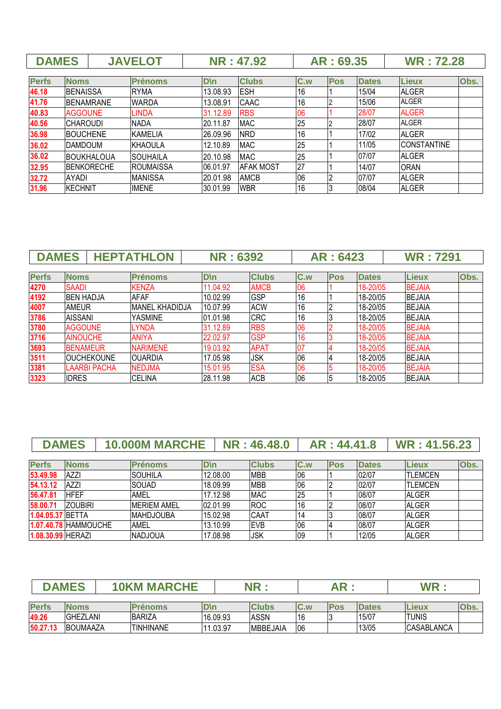| <b>DAMES</b> |                  |                    | <b>JAVELOT</b>   |          | <b>NR: 47.92</b> |     | AR: 69.35  |              | <b>WR: 72.28</b>   |      |
|--------------|------------------|--------------------|------------------|----------|------------------|-----|------------|--------------|--------------------|------|
|              |                  |                    |                  |          |                  |     |            |              |                    |      |
| <b>Perfs</b> | <b>Noms</b>      |                    | <b>Prénoms</b>   | D\n      | <b>Clubs</b>     | C.w | <b>Pos</b> | <b>Dates</b> | Lieux              | Obs. |
| 46.18        | <b>BENAISSA</b>  |                    | <b>RYMA</b>      | 13.08.93 | <b>ESH</b>       | 16  |            | 15/04        | <b>ALGER</b>       |      |
| 41.76        |                  | <b>BENAMRANE</b>   | <b>WARDA</b>     | 13.08.91 | CAAC             | 16  |            | 15/06        | <b>ALGER</b>       |      |
| 40.83        | <b>AGGOUNE</b>   |                    | <b>LINDA</b>     | 31.12.89 | <b>RBS</b>       | 06  |            | 28/07        | <b>ALGER</b>       |      |
| 40.56        | <b>CHAROUDI</b>  |                    | <b>NADA</b>      | 20.11.87 | <b>MAC</b>       | 25  |            | 28/07        | <b>ALGER</b>       |      |
| 36.98        | <b>IBOUCHENE</b> |                    | <b>KAMELIA</b>   | 26.09.96 | <b>NRD</b>       | 16  |            | 17/02        | <b>ALGER</b>       |      |
| 36.02        | <b>IDAMDOUM</b>  |                    | <b>KHAOULA</b>   | 12.10.89 | <b>MAC</b>       | 25  |            | 11/05        | <b>CONSTANTINE</b> |      |
| 36.02        |                  | <b>BOUKHALOUA</b>  | <b>SOUHAILA</b>  | 20.10.98 | <b>MAC</b>       | 25  |            | 07/07        | <b>ALGER</b>       |      |
| 32.95        |                  | <b>IBENKORECHE</b> | <b>ROUMAISSA</b> | 06.01.97 | <b>AFAK MOST</b> | 27  |            | 14/07        | <b>ORAN</b>        |      |
| 32.72        | <b>AYADI</b>     |                    | <b>MANISSA</b>   | 20.01.98 | <b>AMCB</b>      | 06  |            | 07/07        | <b>ALGER</b>       |      |
| 31.96        | <b>KECHNIT</b>   |                    | <b>IMENE</b>     | 30.01.99 | <b>WBR</b>       | 16  |            | 08/04        | <b>ALGER</b>       |      |

| <b>DAMES</b> |                   |                     | <b>HEPTATHLON</b>     | <b>NR: 6392</b> |              |     | AR: 6423   |              | <b>WR: 7291</b> |      |
|--------------|-------------------|---------------------|-----------------------|-----------------|--------------|-----|------------|--------------|-----------------|------|
|              |                   |                     |                       |                 |              |     |            |              |                 |      |
| <b>Perfs</b> | <b>Noms</b>       |                     | <b>Prénoms</b>        | D\n             | <b>Clubs</b> | C.w | <b>Pos</b> | <b>Dates</b> | <b>Lieux</b>    | Obs. |
| 4270         | <b>SAADI</b>      |                     | <b>KENZA</b>          | 11.04.92        | <b>AMCB</b>  | 06  |            | 18-20/05     | <b>BEJAIA</b>   |      |
| 4192         | <b>IBEN HADJA</b> |                     | <b>AFAF</b>           | 10.02.99        | <b>GSP</b>   | 16  |            | 18-20/05     | <b>BEJAIA</b>   |      |
| 4007         | <b>AMEUR</b>      |                     | <b>MANEL KHADIDJA</b> | 10.07.99        | <b>ACW</b>   | 16  |            | 18-20/05     | <b>BEJAIA</b>   |      |
| 3786         | <b>AISSANI</b>    |                     | YASMINE               | 01.01.98        | <b>CRC</b>   | 16  |            | 18-20/05     | <b>BEJAIA</b>   |      |
| 3780         | <b>AGGOUNE</b>    |                     | <b>LYNDA</b>          | 31.12.89        | <b>RBS</b>   | 06  |            | 18-20/05     | <b>BEJAIA</b>   |      |
| 3716         | <b>AINOUCHE</b>   |                     | <b>ANIYA</b>          | 22.02.97        | <b>GSP</b>   | 16  |            | 18-20/05     | <b>BEJAIA</b>   |      |
| 3693         | <b>BENAMEUR</b>   |                     | <b>NARIMENE</b>       | 19.03.92        | <b>APAT</b>  | 07  |            | 18-20/05     | <b>BEJAIA</b>   |      |
| 3511         |                   | <b>OUCHEKOUNE</b>   | <b>OUARDIA</b>        | 17.05.98        | <b>JSK</b>   | 06  |            | 18-20/05     | <b>BEJAIA</b>   |      |
| 3381         |                   | <b>LAARBI PACHA</b> | <b>NEDJMA</b>         | 15.01.95        | <b>ESA</b>   | 06  |            | 18-20/05     | <b>BEJAIA</b>   |      |
| 3323         | <b>IDRES</b>      |                     | <b>CELINA</b>         | 28.11.98        | <b>ACB</b>   | 06  | 5          | 18-20/05     | <b>BEJAIA</b>   |      |

|                   | <b>DAMES</b>         | 10.000M MARCHE     |           | <b>NR: 46.48.0</b> |     | AR: 44.41.8 |              | <b>WR: 41.56.23</b> |      |
|-------------------|----------------------|--------------------|-----------|--------------------|-----|-------------|--------------|---------------------|------|
| <b>Perfs</b>      | <b>Noms</b>          | <b>Prénoms</b>     | $D \n\ln$ | <b>Clubs</b>       | C.w | <b>Pos</b>  | <b>Dates</b> | <b>Lieux</b>        | Obs. |
| 53.49.98          | <b>AZZI</b>          | ISOUHILA           | 12.08.00  | <b>MBB</b>         | 06  |             | 02/07        | <b>ITLEMCEN</b>     |      |
| 54.13.12          | <b>AZZI</b>          | <b>SOUAD</b>       | 18.09.99  | <b>MBB</b>         | 06  |             | 02/07        | <b>TLEMCEN</b>      |      |
| 56.47.81          | <b>HFEF</b>          | <b>AMEL</b>        | 17.12.98  | <b>MAC</b>         | 25  |             | 08/07        | <b>ALGER</b>        |      |
| 58.00.71          | <b>ZOUBIRI</b>       | <b>MERIEM AMEL</b> | 02.01.99  | <b>ROC</b>         | 16  |             | 08/07        | <b>ALGER</b>        |      |
| 1.04.05.37 BETTA  |                      | <b>MAHDJOUBA</b>   | 15.02.98  | CAAT               | 114 |             | 08/07        | <b>ALGER</b>        |      |
|                   | 1.07.40.78 HAMMOUCHE | <b>AMEL</b>        | 13.10.99  | <b>EVB</b>         | 06  |             | 08/07        | <b>ALGER</b>        |      |
| 1.08.30.99 HERAZI |                      | <b>NADJOUA</b>     | 17.08.98  | <b>JSK</b>         | 09  |             | 12/05        | <b>ALGER</b>        |      |

|              | <b>DAMES</b><br><b>10KM MARCHE</b> |  |                  | NR          |                 |            |            |              | <b>WR</b>         |      |
|--------------|------------------------------------|--|------------------|-------------|-----------------|------------|------------|--------------|-------------------|------|
| <b>Perfs</b> | <b>Noms</b>                        |  |                  |             | <b>Clubs</b>    |            |            |              |                   |      |
|              |                                    |  | <b>Prénoms</b>   | <b>D</b> \n |                 | <b>C.w</b> | <b>Pos</b> | <b>Dates</b> | Lieux             | Obs. |
| 49.26        | <b>GHEZLANI</b>                    |  | BARIZA           | 16.09.93    | ASSN            | l16        |            | 15/07        | <b>TUNIS</b>      |      |
| 50.27.13     | <b>BOUMAAZA</b>                    |  | <b>TINHINANE</b> | 11.03.97    | <b>MBBEJAIA</b> | 06         |            | 13/05        | <b>CASABLANCA</b> |      |